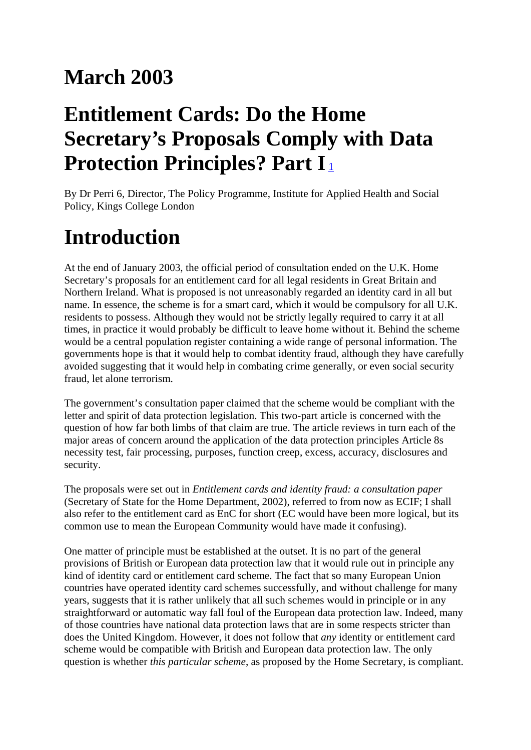#### **March 2003**

## **Entitlement Cards: Do the Home Secretary's Proposals Comply with Data Protection Principles? Part I**<sup>[1](http://www.hostref4.com/nxt/gateway.dll/Data Protection Report_xml/12497/13544/13550/13558/13574?f=templates$fn=document-frame.htm$3.0$q=$uq=1$x=$up=1$nc=8062#_Ref35072078)</sup>

By Dr Perri 6, Director, The Policy Programme, Institute for Applied Health and Social Policy, Kings College London

# **Introduction**

At the end of January 2003, the official period of consultation ended on the U.K. Home Secretary's proposals for an entitlement card for all legal residents in Great Britain and Northern Ireland. What is proposed is not unreasonably regarded an identity card in all but name. In essence, the scheme is for a smart card, which it would be compulsory for all U.K. residents to possess. Although they would not be strictly legally required to carry it at all times, in practice it would probably be difficult to leave home without it. Behind the scheme would be a central population register containing a wide range of personal information. The governments hope is that it would help to combat identity fraud, although they have carefully avoided suggesting that it would help in combating crime generally, or even social security fraud, let alone terrorism.

The government's consultation paper claimed that the scheme would be compliant with the letter and spirit of data protection legislation. This two-part article is concerned with the question of how far both limbs of that claim are true. The article reviews in turn each of the major areas of concern around the application of the data protection principles Article 8s necessity test, fair processing, purposes, function creep, excess, accuracy, disclosures and security.

The proposals were set out in *Entitlement cards and identity fraud: a consultation paper* (Secretary of State for the Home Department, 2002), referred to from now as ECIF; I shall also refer to the entitlement card as EnC for short (EC would have been more logical, but its common use to mean the European Community would have made it confusing).

One matter of principle must be established at the outset. It is no part of the general provisions of British or European data protection law that it would rule out in principle any kind of identity card or entitlement card scheme. The fact that so many European Union countries have operated identity card schemes successfully, and without challenge for many years, suggests that it is rather unlikely that all such schemes would in principle or in any straightforward or automatic way fall foul of the European data protection law. Indeed, many of those countries have national data protection laws that are in some respects stricter than does the United Kingdom. However, it does not follow that *any* identity or entitlement card scheme would be compatible with British and European data protection law. The only question is whether *this particular scheme*, as proposed by the Home Secretary, is compliant.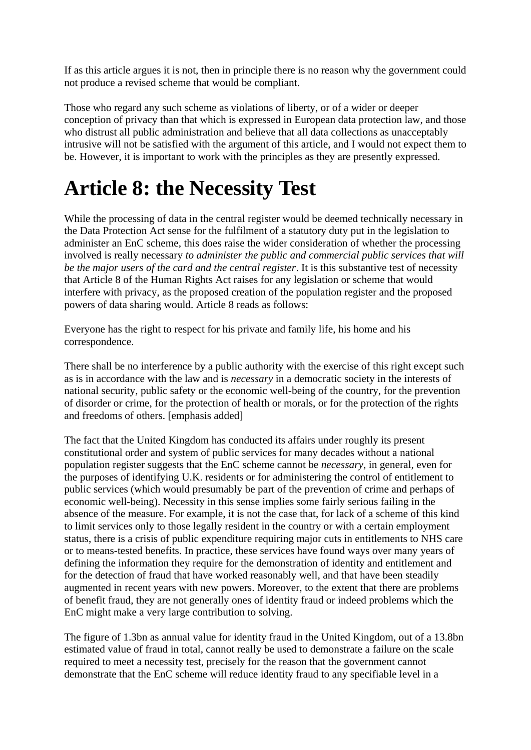If as this article argues it is not, then in principle there is no reason why the government could not produce a revised scheme that would be compliant.

Those who regard any such scheme as violations of liberty, or of a wider or deeper conception of privacy than that which is expressed in European data protection law, and those who distrust all public administration and believe that all data collections as unacceptably intrusive will not be satisfied with the argument of this article, and I would not expect them to be. However, it is important to work with the principles as they are presently expressed.

## **Article 8: the Necessity Test**

While the processing of data in the central register would be deemed technically necessary in the Data Protection Act sense for the fulfilment of a statutory duty put in the legislation to administer an EnC scheme, this does raise the wider consideration of whether the processing involved is really necessary *to administer the public and commercial public services that will be the major users of the card and the central register*. It is this substantive test of necessity that Article 8 of the Human Rights Act raises for any legislation or scheme that would interfere with privacy, as the proposed creation of the population register and the proposed powers of data sharing would. Article 8 reads as follows:

Everyone has the right to respect for his private and family life, his home and his correspondence.

There shall be no interference by a public authority with the exercise of this right except such as is in accordance with the law and is *necessary* in a democratic society in the interests of national security, public safety or the economic well-being of the country, for the prevention of disorder or crime, for the protection of health or morals, or for the protection of the rights and freedoms of others. [emphasis added]

The fact that the United Kingdom has conducted its affairs under roughly its present constitutional order and system of public services for many decades without a national population register suggests that the EnC scheme cannot be *necessary*, in general, even for the purposes of identifying U.K. residents or for administering the control of entitlement to public services (which would presumably be part of the prevention of crime and perhaps of economic well-being). Necessity in this sense implies some fairly serious failing in the absence of the measure. For example, it is not the case that, for lack of a scheme of this kind to limit services only to those legally resident in the country or with a certain employment status, there is a crisis of public expenditure requiring major cuts in entitlements to NHS care or to means-tested benefits. In practice, these services have found ways over many years of defining the information they require for the demonstration of identity and entitlement and for the detection of fraud that have worked reasonably well, and that have been steadily augmented in recent years with new powers. Moreover, to the extent that there are problems of benefit fraud, they are not generally ones of identity fraud or indeed problems which the EnC might make a very large contribution to solving.

The figure of 1.3bn as annual value for identity fraud in the United Kingdom, out of a 13.8bn estimated value of fraud in total, cannot really be used to demonstrate a failure on the scale required to meet a necessity test, precisely for the reason that the government cannot demonstrate that the EnC scheme will reduce identity fraud to any specifiable level in a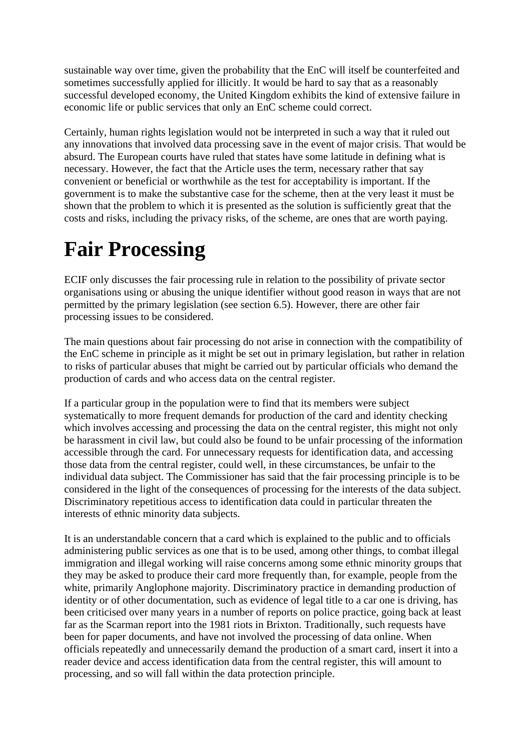sustainable way over time, given the probability that the EnC will itself be counterfeited and sometimes successfully applied for illicitly. It would be hard to say that as a reasonably successful developed economy, the United Kingdom exhibits the kind of extensive failure in economic life or public services that only an EnC scheme could correct.

Certainly, human rights legislation would not be interpreted in such a way that it ruled out any innovations that involved data processing save in the event of major crisis. That would be absurd. The European courts have ruled that states have some latitude in defining what is necessary. However, the fact that the Article uses the term, necessary rather that say convenient or beneficial or worthwhile as the test for acceptability is important. If the government is to make the substantive case for the scheme, then at the very least it must be shown that the problem to which it is presented as the solution is sufficiently great that the costs and risks, including the privacy risks, of the scheme, are ones that are worth paying.

## **Fair Processing**

ECIF only discusses the fair processing rule in relation to the possibility of private sector organisations using or abusing the unique identifier without good reason in ways that are not permitted by the primary legislation (see section 6.5). However, there are other fair processing issues to be considered.

The main questions about fair processing do not arise in connection with the compatibility of the EnC scheme in principle as it might be set out in primary legislation, but rather in relation to risks of particular abuses that might be carried out by particular officials who demand the production of cards and who access data on the central register.

If a particular group in the population were to find that its members were subject systematically to more frequent demands for production of the card and identity checking which involves accessing and processing the data on the central register, this might not only be harassment in civil law, but could also be found to be unfair processing of the information accessible through the card. For unnecessary requests for identification data, and accessing those data from the central register, could well, in these circumstances, be unfair to the individual data subject. The Commissioner has said that the fair processing principle is to be considered in the light of the consequences of processing for the interests of the data subject. Discriminatory repetitious access to identification data could in particular threaten the interests of ethnic minority data subjects.

It is an understandable concern that a card which is explained to the public and to officials administering public services as one that is to be used, among other things, to combat illegal immigration and illegal working will raise concerns among some ethnic minority groups that they may be asked to produce their card more frequently than, for example, people from the white, primarily Anglophone majority. Discriminatory practice in demanding production of identity or of other documentation, such as evidence of legal title to a car one is driving, has been criticised over many years in a number of reports on police practice, going back at least far as the Scarman report into the 1981 riots in Brixton. Traditionally, such requests have been for paper documents, and have not involved the processing of data online. When officials repeatedly and unnecessarily demand the production of a smart card, insert it into a reader device and access identification data from the central register, this will amount to processing, and so will fall within the data protection principle.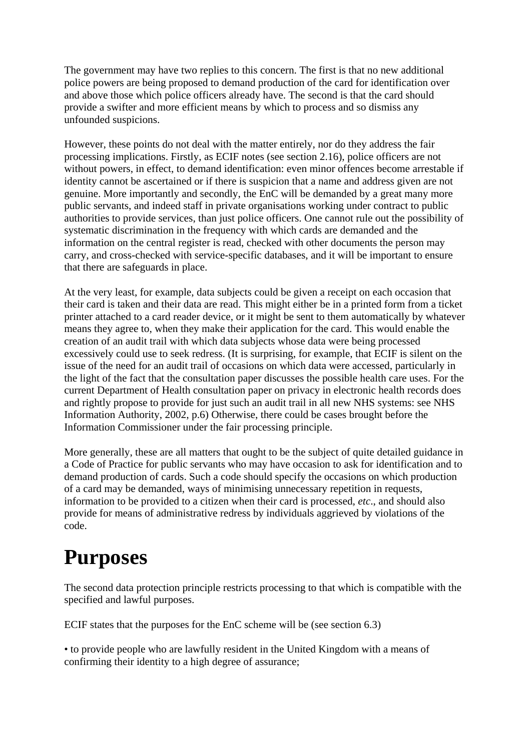The government may have two replies to this concern. The first is that no new additional police powers are being proposed to demand production of the card for identification over and above those which police officers already have. The second is that the card should provide a swifter and more efficient means by which to process and so dismiss any unfounded suspicions.

However, these points do not deal with the matter entirely, nor do they address the fair processing implications. Firstly, as ECIF notes (see section 2.16), police officers are not without powers, in effect, to demand identification: even minor offences become arrestable if identity cannot be ascertained or if there is suspicion that a name and address given are not genuine. More importantly and secondly, the EnC will be demanded by a great many more public servants, and indeed staff in private organisations working under contract to public authorities to provide services, than just police officers. One cannot rule out the possibility of systematic discrimination in the frequency with which cards are demanded and the information on the central register is read, checked with other documents the person may carry, and cross-checked with service-specific databases, and it will be important to ensure that there are safeguards in place.

At the very least, for example, data subjects could be given a receipt on each occasion that their card is taken and their data are read. This might either be in a printed form from a ticket printer attached to a card reader device, or it might be sent to them automatically by whatever means they agree to, when they make their application for the card. This would enable the creation of an audit trail with which data subjects whose data were being processed excessively could use to seek redress. (It is surprising, for example, that ECIF is silent on the issue of the need for an audit trail of occasions on which data were accessed, particularly in the light of the fact that the consultation paper discusses the possible health care uses. For the current Department of Health consultation paper on privacy in electronic health records does and rightly propose to provide for just such an audit trail in all new NHS systems: see NHS Information Authority, 2002, p.6) Otherwise, there could be cases brought before the Information Commissioner under the fair processing principle.

More generally, these are all matters that ought to be the subject of quite detailed guidance in a Code of Practice for public servants who may have occasion to ask for identification and to demand production of cards. Such a code should specify the occasions on which production of a card may be demanded, ways of minimising unnecessary repetition in requests, information to be provided to a citizen when their card is processed, *etc*., and should also provide for means of administrative redress by individuals aggrieved by violations of the code.

# **Purposes**

The second data protection principle restricts processing to that which is compatible with the specified and lawful purposes.

ECIF states that the purposes for the EnC scheme will be (see section 6.3)

• to provide people who are lawfully resident in the United Kingdom with a means of confirming their identity to a high degree of assurance;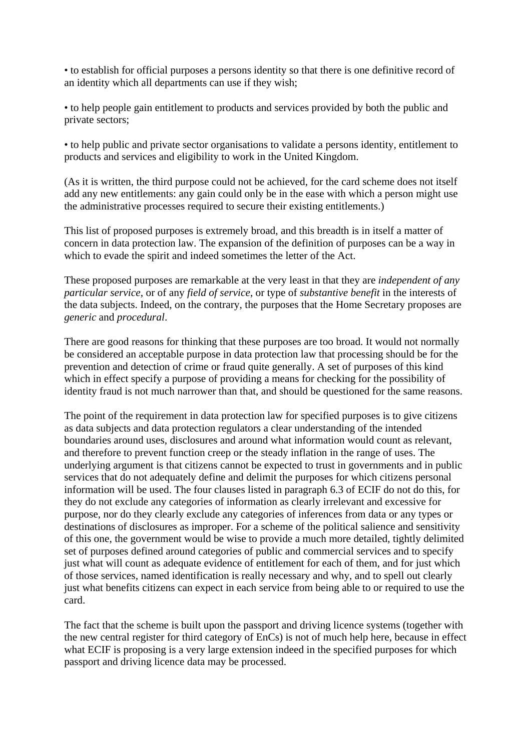• to establish for official purposes a persons identity so that there is one definitive record of an identity which all departments can use if they wish;

• to help people gain entitlement to products and services provided by both the public and private sectors;

• to help public and private sector organisations to validate a persons identity, entitlement to products and services and eligibility to work in the United Kingdom.

(As it is written, the third purpose could not be achieved, for the card scheme does not itself add any new entitlements: any gain could only be in the ease with which a person might use the administrative processes required to secure their existing entitlements.)

This list of proposed purposes is extremely broad, and this breadth is in itself a matter of concern in data protection law. The expansion of the definition of purposes can be a way in which to evade the spirit and indeed sometimes the letter of the Act.

These proposed purposes are remarkable at the very least in that they are *independent of any particular service*, or of any *field of service*, or type of *substantive benefit* in the interests of the data subjects. Indeed, on the contrary, the purposes that the Home Secretary proposes are *generic* and *procedural*.

There are good reasons for thinking that these purposes are too broad. It would not normally be considered an acceptable purpose in data protection law that processing should be for the prevention and detection of crime or fraud quite generally. A set of purposes of this kind which in effect specify a purpose of providing a means for checking for the possibility of identity fraud is not much narrower than that, and should be questioned for the same reasons.

The point of the requirement in data protection law for specified purposes is to give citizens as data subjects and data protection regulators a clear understanding of the intended boundaries around uses, disclosures and around what information would count as relevant, and therefore to prevent function creep or the steady inflation in the range of uses. The underlying argument is that citizens cannot be expected to trust in governments and in public services that do not adequately define and delimit the purposes for which citizens personal information will be used. The four clauses listed in paragraph 6.3 of ECIF do not do this, for they do not exclude any categories of information as clearly irrelevant and excessive for purpose, nor do they clearly exclude any categories of inferences from data or any types or destinations of disclosures as improper. For a scheme of the political salience and sensitivity of this one, the government would be wise to provide a much more detailed, tightly delimited set of purposes defined around categories of public and commercial services and to specify just what will count as adequate evidence of entitlement for each of them, and for just which of those services, named identification is really necessary and why, and to spell out clearly just what benefits citizens can expect in each service from being able to or required to use the card.

The fact that the scheme is built upon the passport and driving licence systems (together with the new central register for third category of EnCs) is not of much help here, because in effect what ECIF is proposing is a very large extension indeed in the specified purposes for which passport and driving licence data may be processed.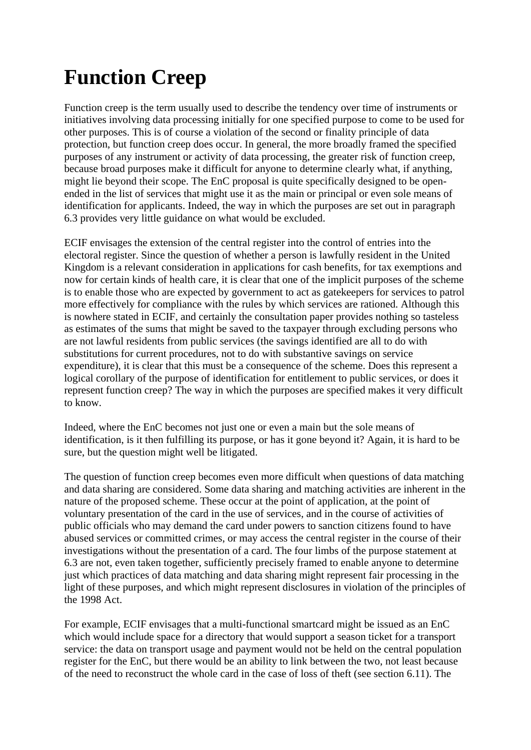# **Function Creep**

Function creep is the term usually used to describe the tendency over time of instruments or initiatives involving data processing initially for one specified purpose to come to be used for other purposes. This is of course a violation of the second or finality principle of data protection, but function creep does occur. In general, the more broadly framed the specified purposes of any instrument or activity of data processing, the greater risk of function creep, because broad purposes make it difficult for anyone to determine clearly what, if anything, might lie beyond their scope. The EnC proposal is quite specifically designed to be openended in the list of services that might use it as the main or principal or even sole means of identification for applicants. Indeed, the way in which the purposes are set out in paragraph 6.3 provides very little guidance on what would be excluded.

ECIF envisages the extension of the central register into the control of entries into the electoral register. Since the question of whether a person is lawfully resident in the United Kingdom is a relevant consideration in applications for cash benefits, for tax exemptions and now for certain kinds of health care, it is clear that one of the implicit purposes of the scheme is to enable those who are expected by government to act as gatekeepers for services to patrol more effectively for compliance with the rules by which services are rationed. Although this is nowhere stated in ECIF, and certainly the consultation paper provides nothing so tasteless as estimates of the sums that might be saved to the taxpayer through excluding persons who are not lawful residents from public services (the savings identified are all to do with substitutions for current procedures, not to do with substantive savings on service expenditure), it is clear that this must be a consequence of the scheme. Does this represent a logical corollary of the purpose of identification for entitlement to public services, or does it represent function creep? The way in which the purposes are specified makes it very difficult to know.

Indeed, where the EnC becomes not just one or even a main but the sole means of identification, is it then fulfilling its purpose, or has it gone beyond it? Again, it is hard to be sure, but the question might well be litigated.

The question of function creep becomes even more difficult when questions of data matching and data sharing are considered. Some data sharing and matching activities are inherent in the nature of the proposed scheme. These occur at the point of application, at the point of voluntary presentation of the card in the use of services, and in the course of activities of public officials who may demand the card under powers to sanction citizens found to have abused services or committed crimes, or may access the central register in the course of their investigations without the presentation of a card. The four limbs of the purpose statement at 6.3 are not, even taken together, sufficiently precisely framed to enable anyone to determine just which practices of data matching and data sharing might represent fair processing in the light of these purposes, and which might represent disclosures in violation of the principles of the 1998 Act.

For example, ECIF envisages that a multi-functional smartcard might be issued as an EnC which would include space for a directory that would support a season ticket for a transport service: the data on transport usage and payment would not be held on the central population register for the EnC, but there would be an ability to link between the two, not least because of the need to reconstruct the whole card in the case of loss of theft (see section 6.11). The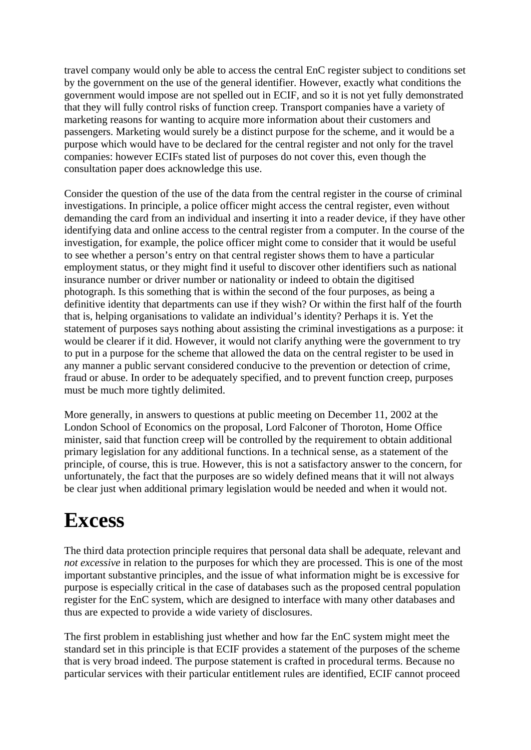travel company would only be able to access the central EnC register subject to conditions set by the government on the use of the general identifier. However, exactly what conditions the government would impose are not spelled out in ECIF, and so it is not yet fully demonstrated that they will fully control risks of function creep. Transport companies have a variety of marketing reasons for wanting to acquire more information about their customers and passengers. Marketing would surely be a distinct purpose for the scheme, and it would be a purpose which would have to be declared for the central register and not only for the travel companies: however ECIFs stated list of purposes do not cover this, even though the consultation paper does acknowledge this use.

Consider the question of the use of the data from the central register in the course of criminal investigations. In principle, a police officer might access the central register, even without demanding the card from an individual and inserting it into a reader device, if they have other identifying data and online access to the central register from a computer. In the course of the investigation, for example, the police officer might come to consider that it would be useful to see whether a person's entry on that central register shows them to have a particular employment status, or they might find it useful to discover other identifiers such as national insurance number or driver number or nationality or indeed to obtain the digitised photograph. Is this something that is within the second of the four purposes, as being a definitive identity that departments can use if they wish? Or within the first half of the fourth that is, helping organisations to validate an individual's identity? Perhaps it is. Yet the statement of purposes says nothing about assisting the criminal investigations as a purpose: it would be clearer if it did. However, it would not clarify anything were the government to try to put in a purpose for the scheme that allowed the data on the central register to be used in any manner a public servant considered conducive to the prevention or detection of crime, fraud or abuse. In order to be adequately specified, and to prevent function creep, purposes must be much more tightly delimited.

More generally, in answers to questions at public meeting on December 11, 2002 at the London School of Economics on the proposal, Lord Falconer of Thoroton, Home Office minister, said that function creep will be controlled by the requirement to obtain additional primary legislation for any additional functions. In a technical sense, as a statement of the principle, of course, this is true. However, this is not a satisfactory answer to the concern, for unfortunately, the fact that the purposes are so widely defined means that it will not always be clear just when additional primary legislation would be needed and when it would not.

#### **Excess**

The third data protection principle requires that personal data shall be adequate, relevant and *not excessive* in relation to the purposes for which they are processed. This is one of the most important substantive principles, and the issue of what information might be is excessive for purpose is especially critical in the case of databases such as the proposed central population register for the EnC system, which are designed to interface with many other databases and thus are expected to provide a wide variety of disclosures.

The first problem in establishing just whether and how far the EnC system might meet the standard set in this principle is that ECIF provides a statement of the purposes of the scheme that is very broad indeed. The purpose statement is crafted in procedural terms. Because no particular services with their particular entitlement rules are identified, ECIF cannot proceed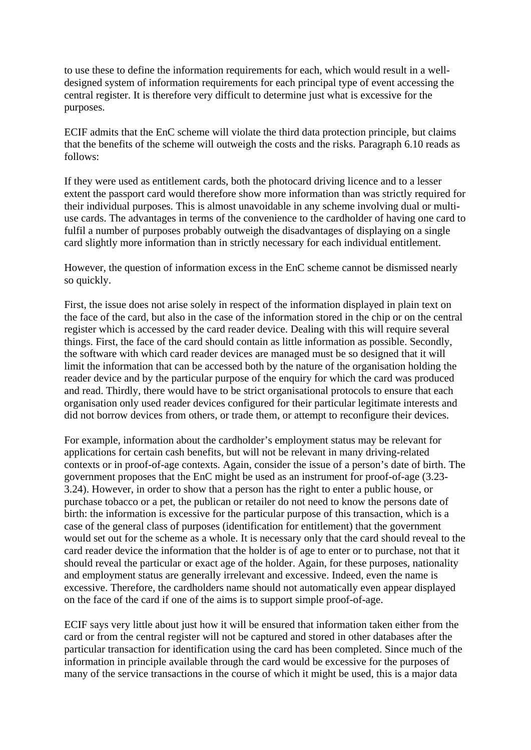to use these to define the information requirements for each, which would result in a welldesigned system of information requirements for each principal type of event accessing the central register. It is therefore very difficult to determine just what is excessive for the purposes.

ECIF admits that the EnC scheme will violate the third data protection principle, but claims that the benefits of the scheme will outweigh the costs and the risks. Paragraph 6.10 reads as follows:

If they were used as entitlement cards, both the photocard driving licence and to a lesser extent the passport card would therefore show more information than was strictly required for their individual purposes. This is almost unavoidable in any scheme involving dual or multiuse cards. The advantages in terms of the convenience to the cardholder of having one card to fulfil a number of purposes probably outweigh the disadvantages of displaying on a single card slightly more information than in strictly necessary for each individual entitlement.

However, the question of information excess in the EnC scheme cannot be dismissed nearly so quickly.

First, the issue does not arise solely in respect of the information displayed in plain text on the face of the card, but also in the case of the information stored in the chip or on the central register which is accessed by the card reader device. Dealing with this will require several things. First, the face of the card should contain as little information as possible. Secondly, the software with which card reader devices are managed must be so designed that it will limit the information that can be accessed both by the nature of the organisation holding the reader device and by the particular purpose of the enquiry for which the card was produced and read. Thirdly, there would have to be strict organisational protocols to ensure that each organisation only used reader devices configured for their particular legitimate interests and did not borrow devices from others, or trade them, or attempt to reconfigure their devices.

For example, information about the cardholder's employment status may be relevant for applications for certain cash benefits, but will not be relevant in many driving-related contexts or in proof-of-age contexts. Again, consider the issue of a person's date of birth. The government proposes that the EnC might be used as an instrument for proof-of-age (3.23- 3.24). However, in order to show that a person has the right to enter a public house, or purchase tobacco or a pet, the publican or retailer do not need to know the persons date of birth: the information is excessive for the particular purpose of this transaction, which is a case of the general class of purposes (identification for entitlement) that the government would set out for the scheme as a whole. It is necessary only that the card should reveal to the card reader device the information that the holder is of age to enter or to purchase, not that it should reveal the particular or exact age of the holder. Again, for these purposes, nationality and employment status are generally irrelevant and excessive. Indeed, even the name is excessive. Therefore, the cardholders name should not automatically even appear displayed on the face of the card if one of the aims is to support simple proof-of-age.

ECIF says very little about just how it will be ensured that information taken either from the card or from the central register will not be captured and stored in other databases after the particular transaction for identification using the card has been completed. Since much of the information in principle available through the card would be excessive for the purposes of many of the service transactions in the course of which it might be used, this is a major data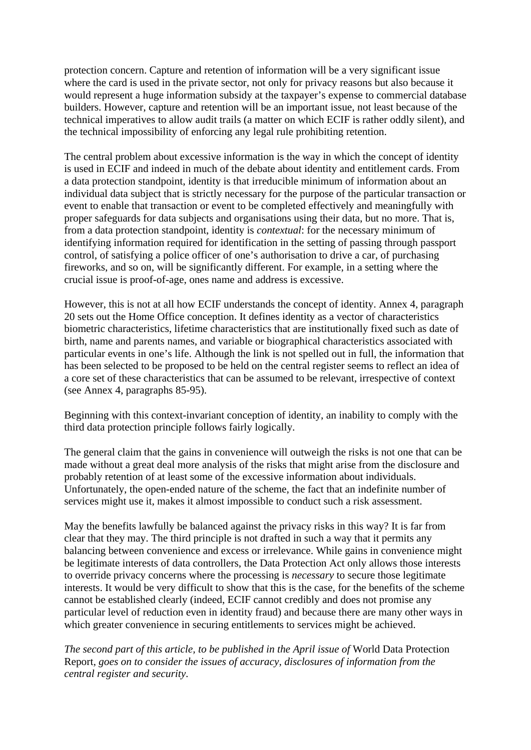protection concern. Capture and retention of information will be a very significant issue where the card is used in the private sector, not only for privacy reasons but also because it would represent a huge information subsidy at the taxpayer's expense to commercial database builders. However, capture and retention will be an important issue, not least because of the technical imperatives to allow audit trails (a matter on which ECIF is rather oddly silent), and the technical impossibility of enforcing any legal rule prohibiting retention.

The central problem about excessive information is the way in which the concept of identity is used in ECIF and indeed in much of the debate about identity and entitlement cards. From a data protection standpoint, identity is that irreducible minimum of information about an individual data subject that is strictly necessary for the purpose of the particular transaction or event to enable that transaction or event to be completed effectively and meaningfully with proper safeguards for data subjects and organisations using their data, but no more. That is, from a data protection standpoint, identity is *contextual*: for the necessary minimum of identifying information required for identification in the setting of passing through passport control, of satisfying a police officer of one's authorisation to drive a car, of purchasing fireworks, and so on, will be significantly different. For example, in a setting where the crucial issue is proof-of-age, ones name and address is excessive.

However, this is not at all how ECIF understands the concept of identity. Annex 4, paragraph 20 sets out the Home Office conception. It defines identity as a vector of characteristics biometric characteristics, lifetime characteristics that are institutionally fixed such as date of birth, name and parents names, and variable or biographical characteristics associated with particular events in one's life. Although the link is not spelled out in full, the information that has been selected to be proposed to be held on the central register seems to reflect an idea of a core set of these characteristics that can be assumed to be relevant, irrespective of context (see Annex 4, paragraphs 85-95).

Beginning with this context-invariant conception of identity, an inability to comply with the third data protection principle follows fairly logically.

The general claim that the gains in convenience will outweigh the risks is not one that can be made without a great deal more analysis of the risks that might arise from the disclosure and probably retention of at least some of the excessive information about individuals. Unfortunately, the open-ended nature of the scheme, the fact that an indefinite number of services might use it, makes it almost impossible to conduct such a risk assessment.

May the benefits lawfully be balanced against the privacy risks in this way? It is far from clear that they may. The third principle is not drafted in such a way that it permits any balancing between convenience and excess or irrelevance. While gains in convenience might be legitimate interests of data controllers, the Data Protection Act only allows those interests to override privacy concerns where the processing is *necessary* to secure those legitimate interests. It would be very difficult to show that this is the case, for the benefits of the scheme cannot be established clearly (indeed, ECIF cannot credibly and does not promise any particular level of reduction even in identity fraud) and because there are many other ways in which greater convenience in securing entitlements to services might be achieved.

*The second part of this article, to be published in the April issue of* World Data Protection Report*, goes on to consider the issues of accuracy, disclosures of information from the central register and security*.